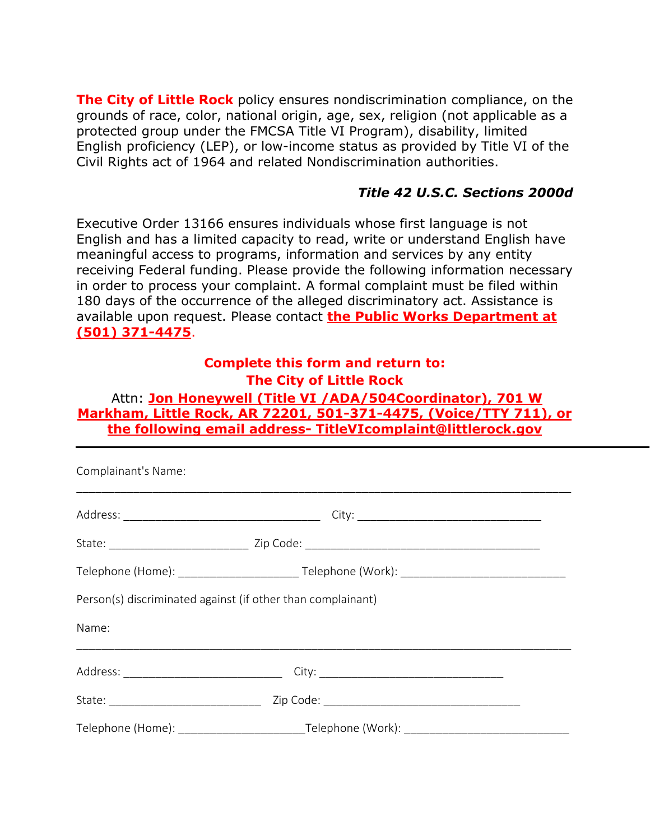**The City of Little Rock** policy ensures nondiscrimination compliance, on the grounds of race, color, national origin, age, sex, religion (not applicable as a protected group under the FMCSA Title VI Program), disability, limited English proficiency (LEP), or low-income status as provided by Title VI of the Civil Rights act of 1964 and related Nondiscrimination authorities.

## *Title 42 U.S.C. Sections 2000d*

Executive Order 13166 ensures individuals whose first language is not English and has a limited capacity to read, write or understand English have meaningful access to programs, information and services by any entity receiving Federal funding. Please provide the following information necessary in order to process your complaint. A formal complaint must be filed within 180 days of the occurrence of the alleged discriminatory act. Assistance is available upon request. Please contact **the Public Works Department at (501) 371-4475**.

## **Complete this form and return to: The City of Little Rock**

## Attn: **Jon Honeywell (Title VI /ADA/504Coordinator), 701 W Markham, Little Rock, AR 72201, 501-371-4475, (Voice/TTY 711), or the following email address- TitleVIcomplaint@littlerock.gov**

| Complainant's Name:                                         |  |
|-------------------------------------------------------------|--|
|                                                             |  |
|                                                             |  |
|                                                             |  |
| Person(s) discriminated against (if other than complainant) |  |
| Name:                                                       |  |
|                                                             |  |
|                                                             |  |
|                                                             |  |